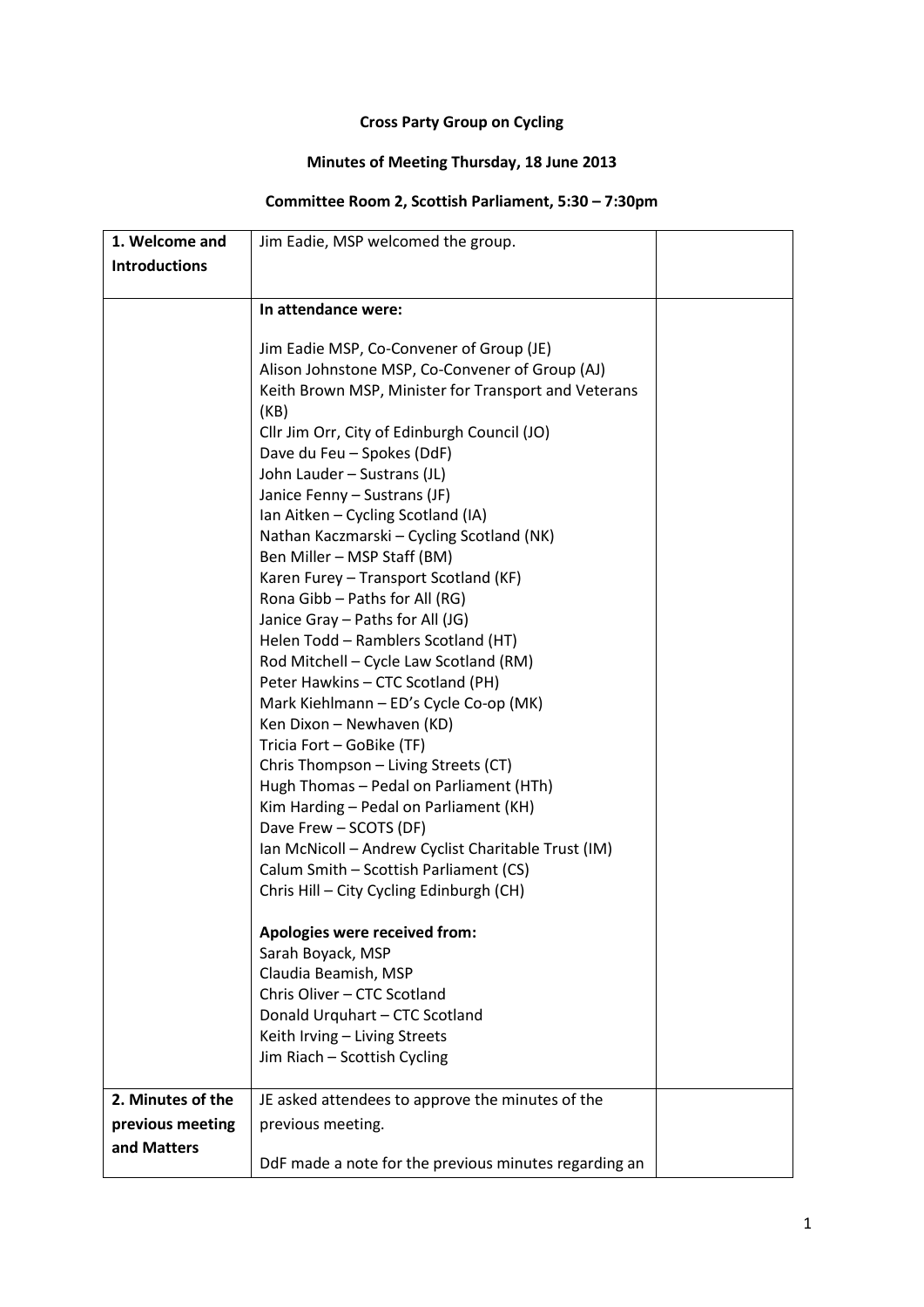## **Cross Party Group on Cycling**

## **Minutes of Meeting Thursday, 18 June 2013**

## **Committee Room 2, Scottish Parliament, 5:30 – 7:30pm**

| 1. Welcome and       | Jim Eadie, MSP welcomed the group.                    |  |
|----------------------|-------------------------------------------------------|--|
| <b>Introductions</b> |                                                       |  |
|                      |                                                       |  |
|                      | In attendance were:                                   |  |
|                      |                                                       |  |
|                      | Jim Eadie MSP, Co-Convener of Group (JE)              |  |
|                      | Alison Johnstone MSP, Co-Convener of Group (AJ)       |  |
|                      | Keith Brown MSP, Minister for Transport and Veterans  |  |
|                      | (KB)                                                  |  |
|                      | Cllr Jim Orr, City of Edinburgh Council (JO)          |  |
|                      | Dave du Feu - Spokes (DdF)                            |  |
|                      | John Lauder - Sustrans (JL)                           |  |
|                      | Janice Fenny - Sustrans (JF)                          |  |
|                      | Ian Aitken - Cycling Scotland (IA)                    |  |
|                      | Nathan Kaczmarski – Cycling Scotland (NK)             |  |
|                      | Ben Miller - MSP Staff (BM)                           |  |
|                      | Karen Furey - Transport Scotland (KF)                 |  |
|                      | Rona Gibb - Paths for All (RG)                        |  |
|                      | Janice Gray - Paths for All (JG)                      |  |
|                      | Helen Todd - Ramblers Scotland (HT)                   |  |
|                      | Rod Mitchell - Cycle Law Scotland (RM)                |  |
|                      | Peter Hawkins - CTC Scotland (PH)                     |  |
|                      | Mark Kiehlmann - ED's Cycle Co-op (MK)                |  |
|                      | Ken Dixon - Newhaven (KD)                             |  |
|                      | Tricia Fort - GoBike (TF)                             |  |
|                      | Chris Thompson - Living Streets (CT)                  |  |
|                      | Hugh Thomas - Pedal on Parliament (HTh)               |  |
|                      | Kim Harding - Pedal on Parliament (KH)                |  |
|                      | Dave Frew - SCOTS (DF)                                |  |
|                      | Ian McNicoll - Andrew Cyclist Charitable Trust (IM)   |  |
|                      | Calum Smith - Scottish Parliament (CS)                |  |
|                      | Chris Hill - City Cycling Edinburgh (CH)              |  |
|                      |                                                       |  |
|                      | Apologies were received from:                         |  |
|                      | Sarah Boyack, MSP                                     |  |
|                      | Claudia Beamish, MSP<br>Chris Oliver - CTC Scotland   |  |
|                      |                                                       |  |
|                      | Donald Urquhart - CTC Scotland                        |  |
|                      | Keith Irving - Living Streets                         |  |
|                      | Jim Riach - Scottish Cycling                          |  |
| 2. Minutes of the    | JE asked attendees to approve the minutes of the      |  |
| previous meeting     | previous meeting.                                     |  |
| and Matters          |                                                       |  |
|                      | DdF made a note for the previous minutes regarding an |  |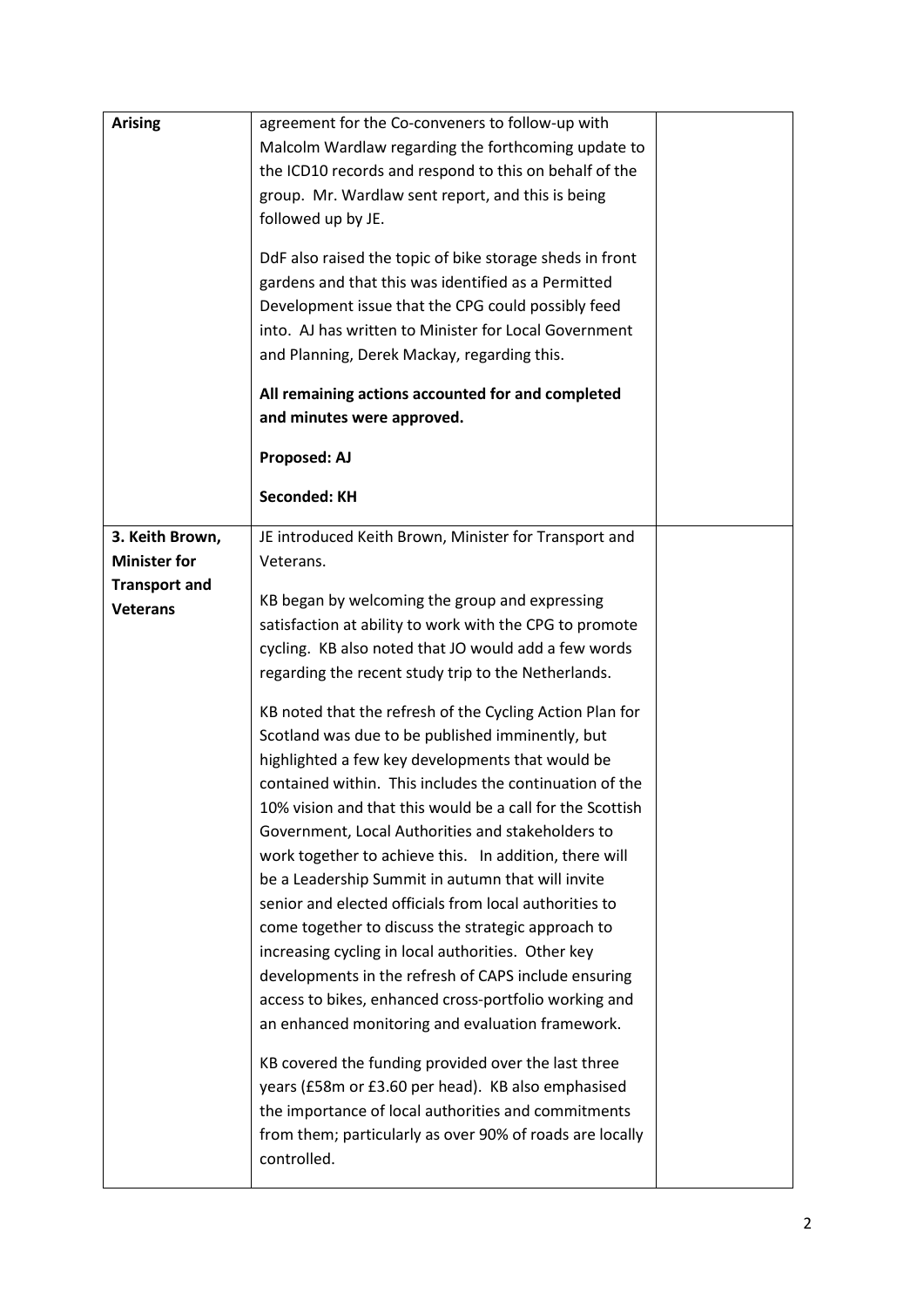| <b>Arising</b>                                                                    | agreement for the Co-conveners to follow-up with<br>Malcolm Wardlaw regarding the forthcoming update to<br>the ICD10 records and respond to this on behalf of the<br>group. Mr. Wardlaw sent report, and this is being<br>followed up by JE.<br>DdF also raised the topic of bike storage sheds in front<br>gardens and that this was identified as a Permitted<br>Development issue that the CPG could possibly feed<br>into. AJ has written to Minister for Local Government<br>and Planning, Derek Mackay, regarding this.<br>All remaining actions accounted for and completed<br>and minutes were approved.<br>Proposed: AJ<br><b>Seconded: KH</b>                                                                                                                                                                                                                                                                                                                                                                                                                                                                                                                                                                                                                                                                                                  |  |
|-----------------------------------------------------------------------------------|----------------------------------------------------------------------------------------------------------------------------------------------------------------------------------------------------------------------------------------------------------------------------------------------------------------------------------------------------------------------------------------------------------------------------------------------------------------------------------------------------------------------------------------------------------------------------------------------------------------------------------------------------------------------------------------------------------------------------------------------------------------------------------------------------------------------------------------------------------------------------------------------------------------------------------------------------------------------------------------------------------------------------------------------------------------------------------------------------------------------------------------------------------------------------------------------------------------------------------------------------------------------------------------------------------------------------------------------------------|--|
| 3. Keith Brown,<br><b>Minister for</b><br><b>Transport and</b><br><b>Veterans</b> | JE introduced Keith Brown, Minister for Transport and<br>Veterans.<br>KB began by welcoming the group and expressing<br>satisfaction at ability to work with the CPG to promote<br>cycling. KB also noted that JO would add a few words<br>regarding the recent study trip to the Netherlands.<br>KB noted that the refresh of the Cycling Action Plan for<br>Scotland was due to be published imminently, but<br>highlighted a few key developments that would be<br>contained within. This includes the continuation of the<br>10% vision and that this would be a call for the Scottish<br>Government, Local Authorities and stakeholders to<br>work together to achieve this. In addition, there will<br>be a Leadership Summit in autumn that will invite<br>senior and elected officials from local authorities to<br>come together to discuss the strategic approach to<br>increasing cycling in local authorities. Other key<br>developments in the refresh of CAPS include ensuring<br>access to bikes, enhanced cross-portfolio working and<br>an enhanced monitoring and evaluation framework.<br>KB covered the funding provided over the last three<br>years (£58m or £3.60 per head). KB also emphasised<br>the importance of local authorities and commitments<br>from them; particularly as over 90% of roads are locally<br>controlled. |  |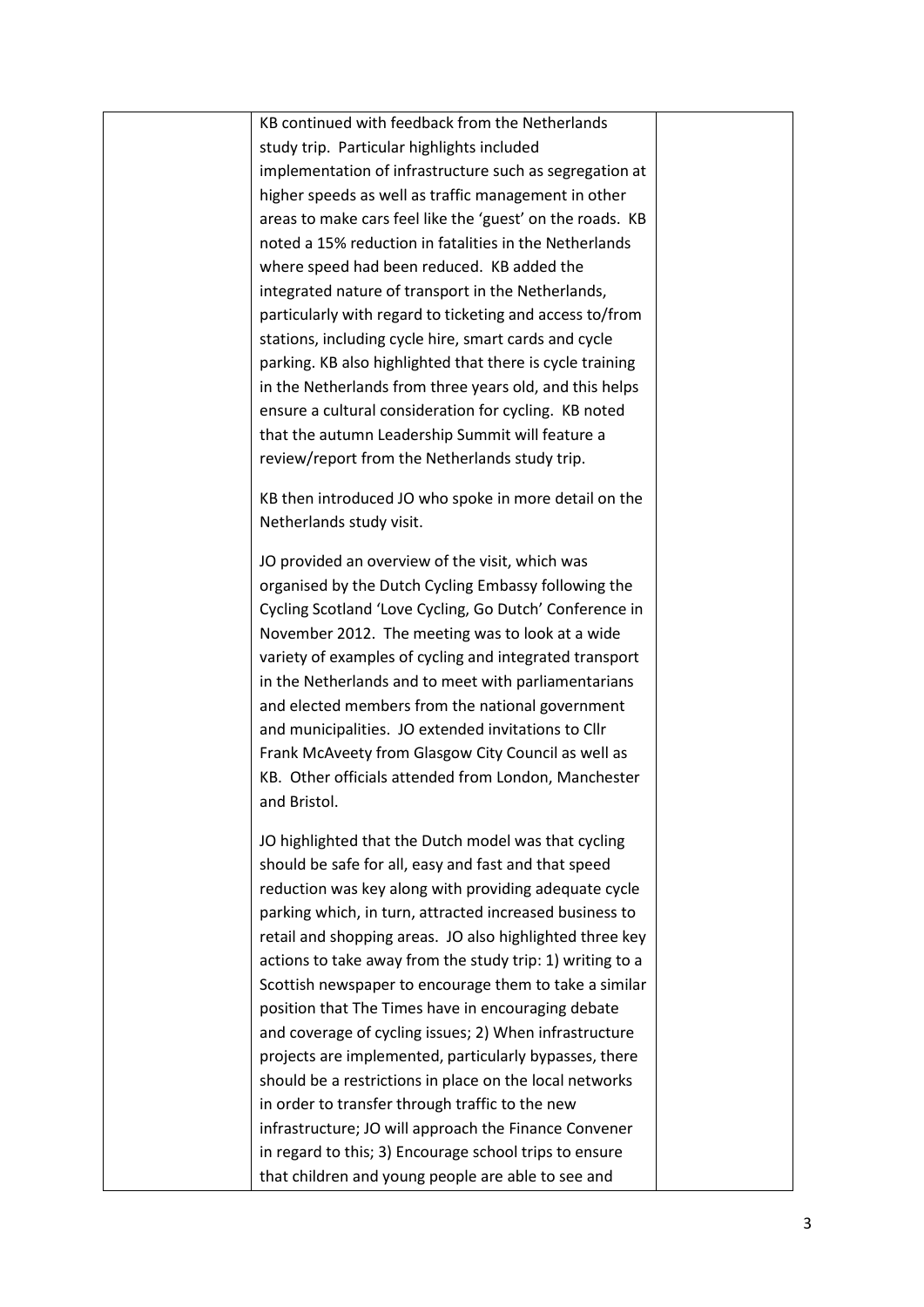KB continued with feedback from the Netherlands study trip. Particular highlights included implementation of infrastructure such as segregation at higher speeds as well as traffic management in other areas to make cars feel like the 'guest' on the roads. KB noted a 15% reduction in fatalities in the Netherlands where speed had been reduced. KB added the integrated nature of transport in the Netherlands, particularly with regard to ticketing and access to/from stations, including cycle hire, smart cards and cycle parking. KB also highlighted that there is cycle training in the Netherlands from three years old, and this helps ensure a cultural consideration for cycling. KB noted that the autumn Leadership Summit will feature a review/report from the Netherlands study trip.

KB then introduced JO who spoke in more detail on the Netherlands study visit.

JO provided an overview of the visit, which was organised by the Dutch Cycling Embassy following the Cycling Scotland 'Love Cycling, Go Dutch' Conference in November 2012. The meeting was to look at a wide variety of examples of cycling and integrated transport in the Netherlands and to meet with parliamentarians and elected members from the national government and municipalities. JO extended invitations to Cllr Frank McAveety from Glasgow City Council as well as KB. Other officials attended from London, Manchester and Bristol.

JO highlighted that the Dutch model was that cycling should be safe for all, easy and fast and that speed reduction was key along with providing adequate cycle parking which, in turn, attracted increased business to retail and shopping areas. JO also highlighted three key actions to take away from the study trip: 1) writing to a Scottish newspaper to encourage them to take a similar position that The Times have in encouraging debate and coverage of cycling issues; 2) When infrastructure projects are implemented, particularly bypasses, there should be a restrictions in place on the local networks in order to transfer through traffic to the new infrastructure; JO will approach the Finance Convener in regard to this; 3) Encourage school trips to ensure that children and young people are able to see and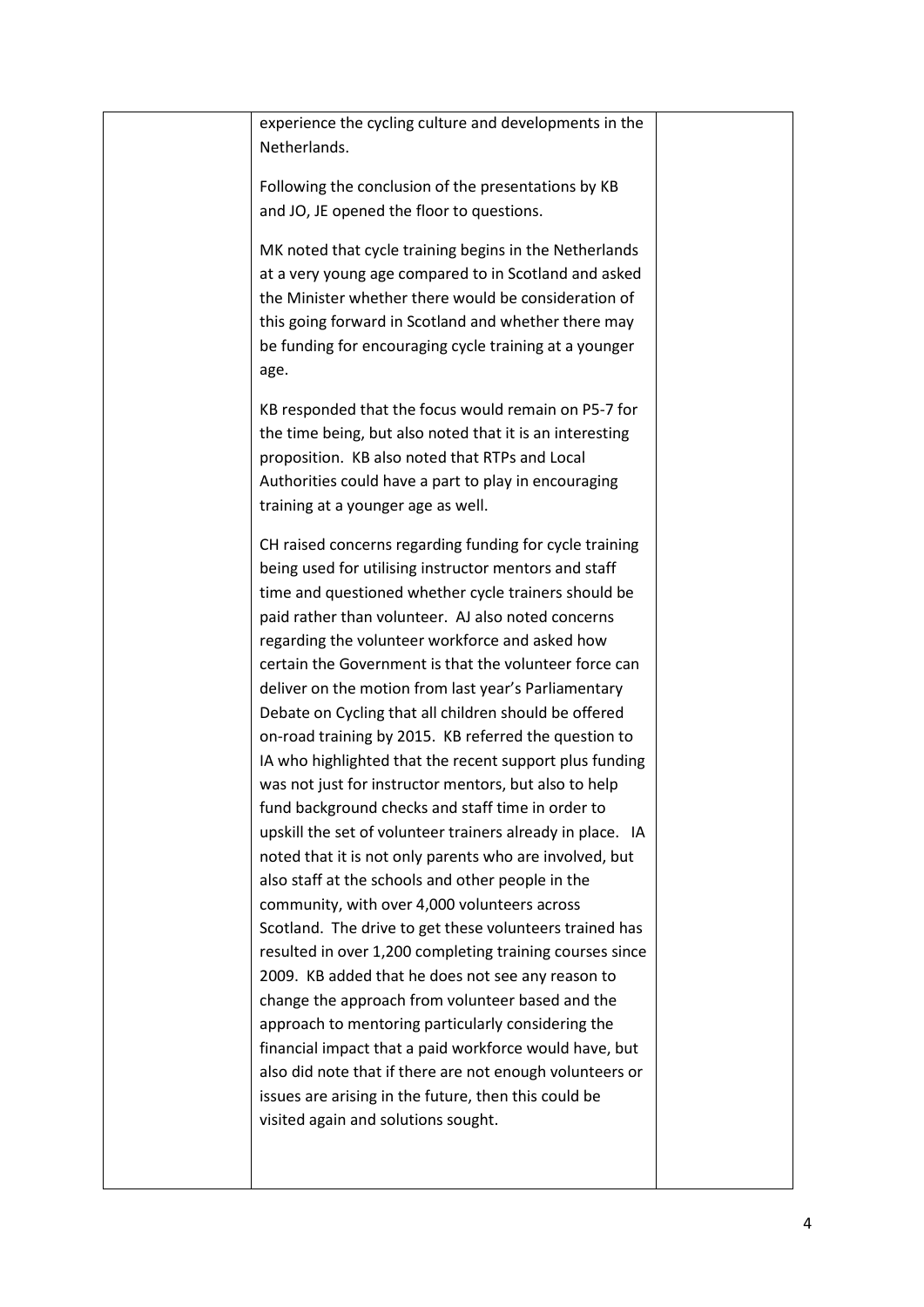|  | experience the cycling culture and developments in the<br>Netherlands.                                                                                                                                                                                                                                                                                                                                                                                                                                                                                                                                                                                                                                                                                                                                                                                                                                                                                                                  |  |
|--|-----------------------------------------------------------------------------------------------------------------------------------------------------------------------------------------------------------------------------------------------------------------------------------------------------------------------------------------------------------------------------------------------------------------------------------------------------------------------------------------------------------------------------------------------------------------------------------------------------------------------------------------------------------------------------------------------------------------------------------------------------------------------------------------------------------------------------------------------------------------------------------------------------------------------------------------------------------------------------------------|--|
|  | Following the conclusion of the presentations by KB<br>and JO, JE opened the floor to questions.                                                                                                                                                                                                                                                                                                                                                                                                                                                                                                                                                                                                                                                                                                                                                                                                                                                                                        |  |
|  | MK noted that cycle training begins in the Netherlands<br>at a very young age compared to in Scotland and asked<br>the Minister whether there would be consideration of<br>this going forward in Scotland and whether there may<br>be funding for encouraging cycle training at a younger<br>age.                                                                                                                                                                                                                                                                                                                                                                                                                                                                                                                                                                                                                                                                                       |  |
|  | KB responded that the focus would remain on P5-7 for<br>the time being, but also noted that it is an interesting<br>proposition. KB also noted that RTPs and Local<br>Authorities could have a part to play in encouraging<br>training at a younger age as well.                                                                                                                                                                                                                                                                                                                                                                                                                                                                                                                                                                                                                                                                                                                        |  |
|  | CH raised concerns regarding funding for cycle training<br>being used for utilising instructor mentors and staff<br>time and questioned whether cycle trainers should be<br>paid rather than volunteer. AJ also noted concerns<br>regarding the volunteer workforce and asked how<br>certain the Government is that the volunteer force can<br>deliver on the motion from last year's Parliamentary<br>Debate on Cycling that all children should be offered<br>on-road training by 2015. KB referred the question to<br>IA who highlighted that the recent support plus funding<br>was not just for instructor mentors, but also to help<br>fund background checks and staff time in order to<br>upskill the set of volunteer trainers already in place. IA<br>noted that it is not only parents who are involved, but<br>also staff at the schools and other people in the<br>community, with over 4,000 volunteers across<br>Scotland. The drive to get these volunteers trained has |  |
|  | resulted in over 1,200 completing training courses since<br>2009. KB added that he does not see any reason to<br>change the approach from volunteer based and the<br>approach to mentoring particularly considering the<br>financial impact that a paid workforce would have, but<br>also did note that if there are not enough volunteers or<br>issues are arising in the future, then this could be<br>visited again and solutions sought.                                                                                                                                                                                                                                                                                                                                                                                                                                                                                                                                            |  |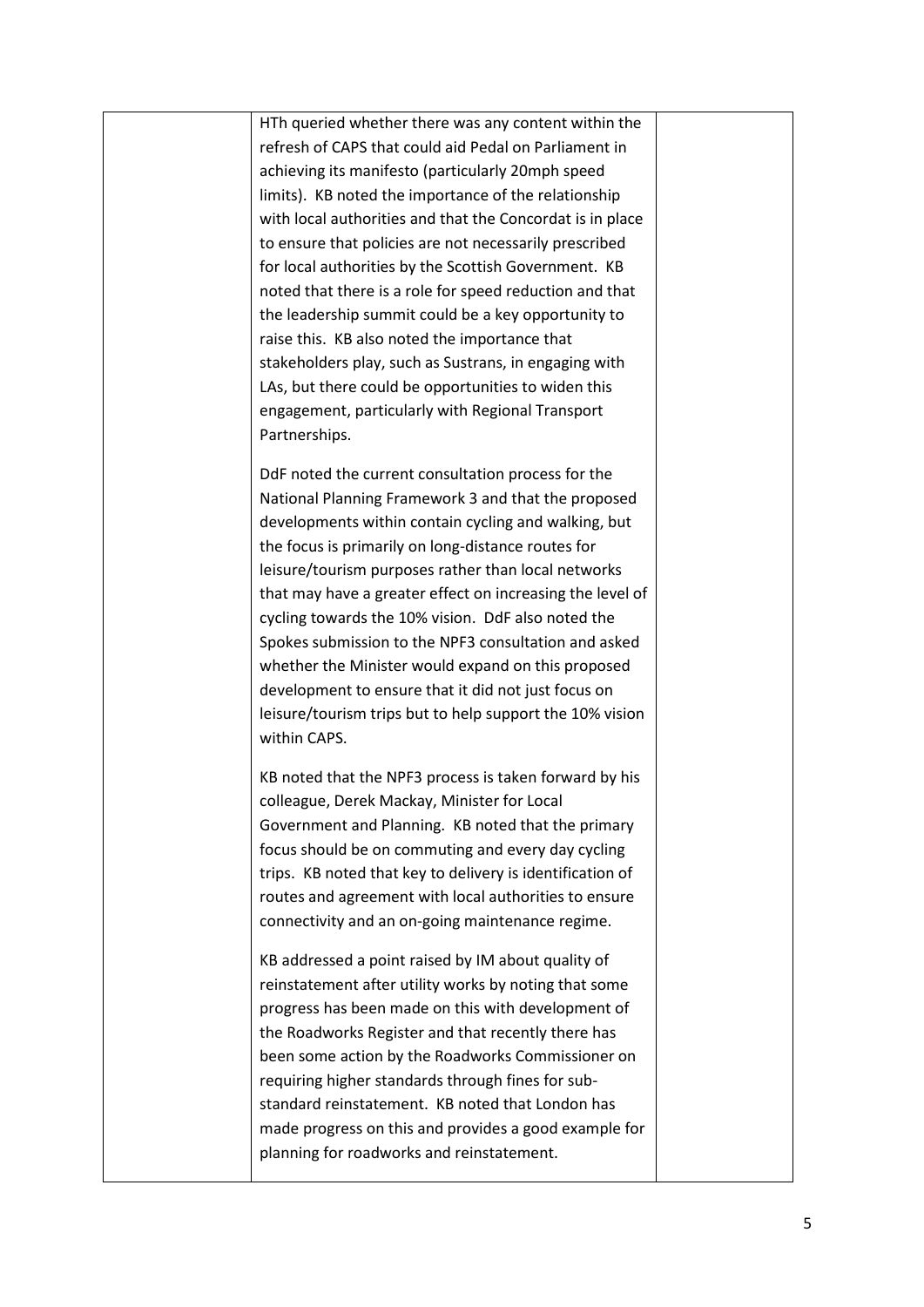HTh queried whether there was any content within the refresh of CAPS that could aid Pedal on Parliament in achieving its manifesto (particularly 20mph speed limits). KB noted the importance of the relationship with local authorities and that the Concordat is in place to ensure that policies are not necessarily prescribed for local authorities by the Scottish Government. KB noted that there is a role for speed reduction and that the leadership summit could be a key opportunity to raise this. KB also noted the importance that stakeholders play, such as Sustrans, in engaging with LAs, but there could be opportunities to widen this engagement, particularly with Regional Transport Partnerships.

DdF noted the current consultation process for the National Planning Framework 3 and that the proposed developments within contain cycling and walking, but the focus is primarily on long-distance routes for leisure/tourism purposes rather than local networks that may have a greater effect on increasing the level of cycling towards the 10% vision. DdF also noted the Spokes submission to the NPF3 consultation and asked whether the Minister would expand on this proposed development to ensure that it did not just focus on leisure/tourism trips but to help support the 10% vision within CAPS.

KB noted that the NPF3 process is taken forward by his colleague, Derek Mackay, Minister for Local Government and Planning. KB noted that the primary focus should be on commuting and every day cycling trips. KB noted that key to delivery is identification of routes and agreement with local authorities to ensure connectivity and an on-going maintenance regime.

KB addressed a point raised by IM about quality of reinstatement after utility works by noting that some progress has been made on this with development of the Roadworks Register and that recently there has been some action by the Roadworks Commissioner on requiring higher standards through fines for substandard reinstatement. KB noted that London has made progress on this and provides a good example for planning for roadworks and reinstatement.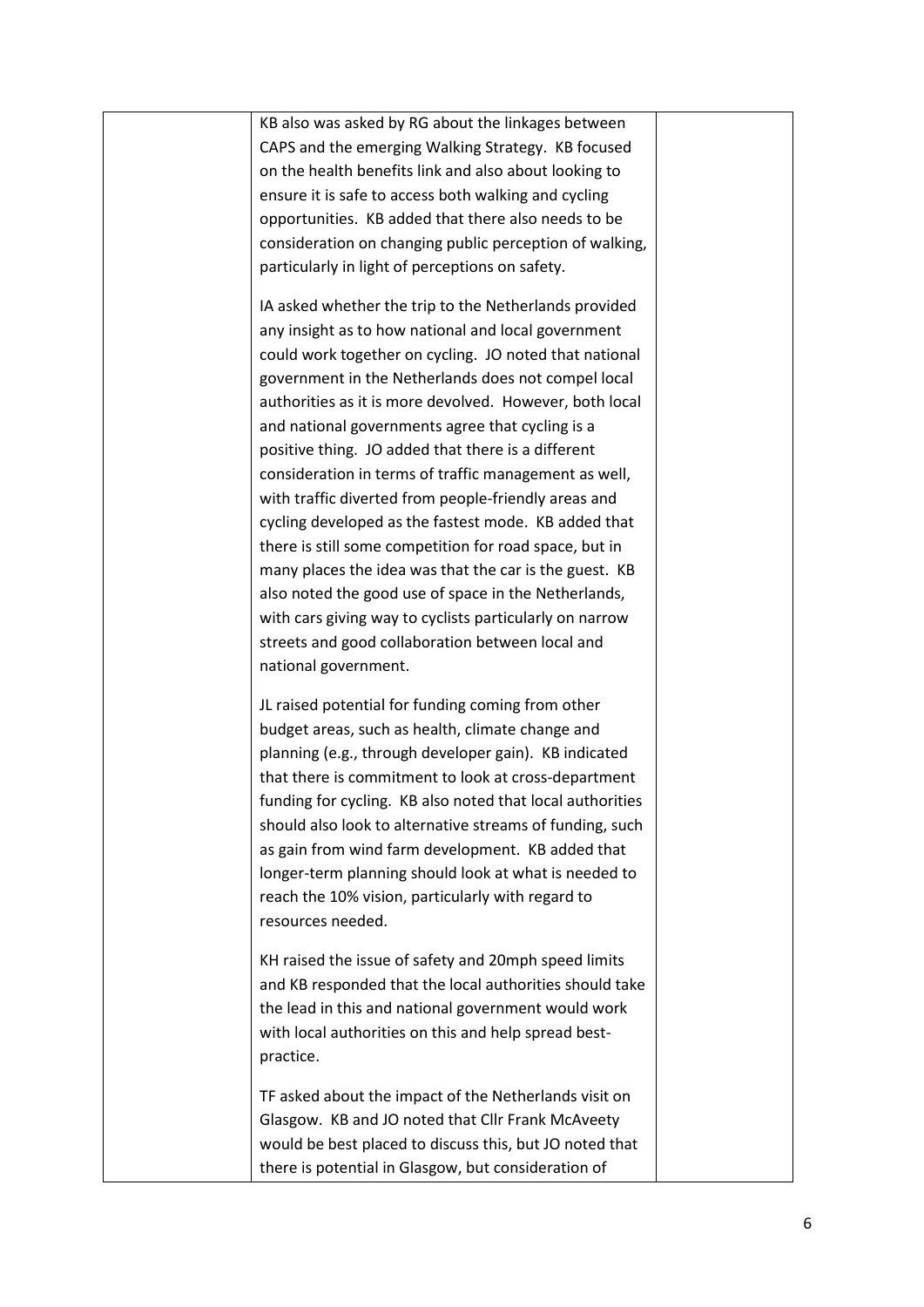| KB also was asked by RG about the linkages between        |  |
|-----------------------------------------------------------|--|
| CAPS and the emerging Walking Strategy. KB focused        |  |
| on the health benefits link and also about looking to     |  |
| ensure it is safe to access both walking and cycling      |  |
| opportunities. KB added that there also needs to be       |  |
| consideration on changing public perception of walking,   |  |
| particularly in light of perceptions on safety.           |  |
|                                                           |  |
| IA asked whether the trip to the Netherlands provided     |  |
| any insight as to how national and local government       |  |
| could work together on cycling. JO noted that national    |  |
| government in the Netherlands does not compel local       |  |
| authorities as it is more devolved. However, both local   |  |
| and national governments agree that cycling is a          |  |
| positive thing. JO added that there is a different        |  |
| consideration in terms of traffic management as well,     |  |
| with traffic diverted from people-friendly areas and      |  |
| cycling developed as the fastest mode. KB added that      |  |
| there is still some competition for road space, but in    |  |
| many places the idea was that the car is the guest. KB    |  |
| also noted the good use of space in the Netherlands,      |  |
| with cars giving way to cyclists particularly on narrow   |  |
| streets and good collaboration between local and          |  |
| national government.                                      |  |
|                                                           |  |
| JL raised potential for funding coming from other         |  |
| budget areas, such as health, climate change and          |  |
| planning (e.g., through developer gain). KB indicated     |  |
| that there is commitment to look at cross-department      |  |
| funding for cycling. KB also noted that local authorities |  |
| should also look to alternative streams of funding, such  |  |
| as gain from wind farm development. KB added that         |  |
| longer-term planning should look at what is needed to     |  |
| reach the 10% vision, particularly with regard to         |  |
| resources needed.                                         |  |
|                                                           |  |
| KH raised the issue of safety and 20mph speed limits      |  |
| and KB responded that the local authorities should take   |  |
| the lead in this and national government would work       |  |
| with local authorities on this and help spread best-      |  |
| practice.                                                 |  |
| TF asked about the impact of the Netherlands visit on     |  |
| Glasgow. KB and JO noted that Cllr Frank McAveety         |  |
| would be best placed to discuss this, but JO noted that   |  |
|                                                           |  |
| there is potential in Glasgow, but consideration of       |  |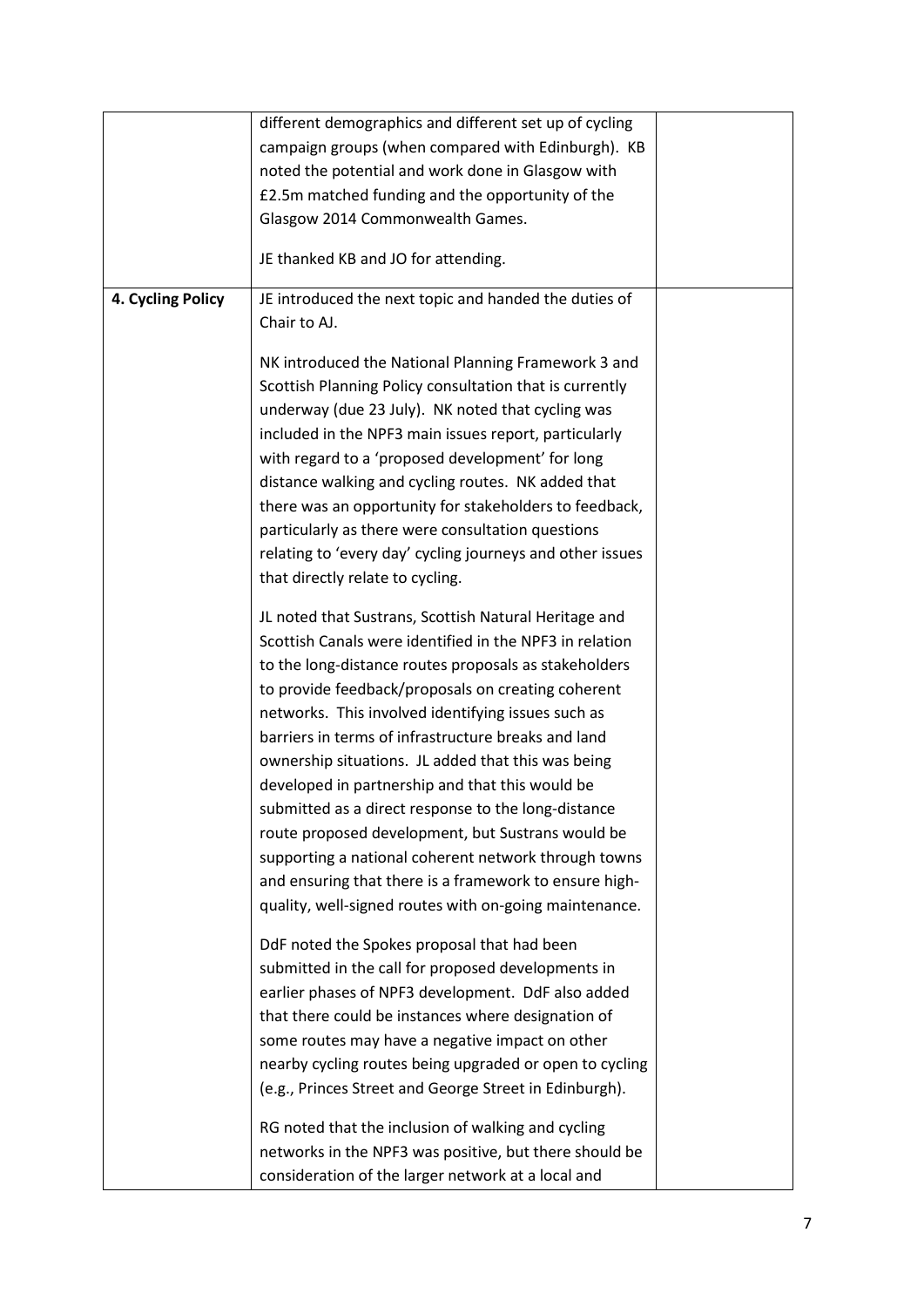|                   | different demographics and different set up of cycling                                                                                                                                                                                                                                                                                                                                                                                                                                                                                                                                                                                                                                                                                        |  |
|-------------------|-----------------------------------------------------------------------------------------------------------------------------------------------------------------------------------------------------------------------------------------------------------------------------------------------------------------------------------------------------------------------------------------------------------------------------------------------------------------------------------------------------------------------------------------------------------------------------------------------------------------------------------------------------------------------------------------------------------------------------------------------|--|
|                   | campaign groups (when compared with Edinburgh). KB                                                                                                                                                                                                                                                                                                                                                                                                                                                                                                                                                                                                                                                                                            |  |
|                   | noted the potential and work done in Glasgow with                                                                                                                                                                                                                                                                                                                                                                                                                                                                                                                                                                                                                                                                                             |  |
|                   | £2.5m matched funding and the opportunity of the                                                                                                                                                                                                                                                                                                                                                                                                                                                                                                                                                                                                                                                                                              |  |
|                   | Glasgow 2014 Commonwealth Games.                                                                                                                                                                                                                                                                                                                                                                                                                                                                                                                                                                                                                                                                                                              |  |
|                   | JE thanked KB and JO for attending.                                                                                                                                                                                                                                                                                                                                                                                                                                                                                                                                                                                                                                                                                                           |  |
| 4. Cycling Policy | JE introduced the next topic and handed the duties of<br>Chair to AJ.                                                                                                                                                                                                                                                                                                                                                                                                                                                                                                                                                                                                                                                                         |  |
|                   | NK introduced the National Planning Framework 3 and<br>Scottish Planning Policy consultation that is currently<br>underway (due 23 July). NK noted that cycling was<br>included in the NPF3 main issues report, particularly<br>with regard to a 'proposed development' for long<br>distance walking and cycling routes. NK added that<br>there was an opportunity for stakeholders to feedback,<br>particularly as there were consultation questions<br>relating to 'every day' cycling journeys and other issues<br>that directly relate to cycling.                                                                                                                                                                                        |  |
|                   | JL noted that Sustrans, Scottish Natural Heritage and<br>Scottish Canals were identified in the NPF3 in relation<br>to the long-distance routes proposals as stakeholders<br>to provide feedback/proposals on creating coherent<br>networks. This involved identifying issues such as<br>barriers in terms of infrastructure breaks and land<br>ownership situations. JL added that this was being<br>developed in partnership and that this would be<br>submitted as a direct response to the long-distance<br>route proposed development, but Sustrans would be<br>supporting a national coherent network through towns<br>and ensuring that there is a framework to ensure high-<br>quality, well-signed routes with on-going maintenance. |  |
|                   | DdF noted the Spokes proposal that had been<br>submitted in the call for proposed developments in<br>earlier phases of NPF3 development. DdF also added<br>that there could be instances where designation of<br>some routes may have a negative impact on other<br>nearby cycling routes being upgraded or open to cycling<br>(e.g., Princes Street and George Street in Edinburgh).<br>RG noted that the inclusion of walking and cycling<br>networks in the NPF3 was positive, but there should be<br>consideration of the larger network at a local and                                                                                                                                                                                   |  |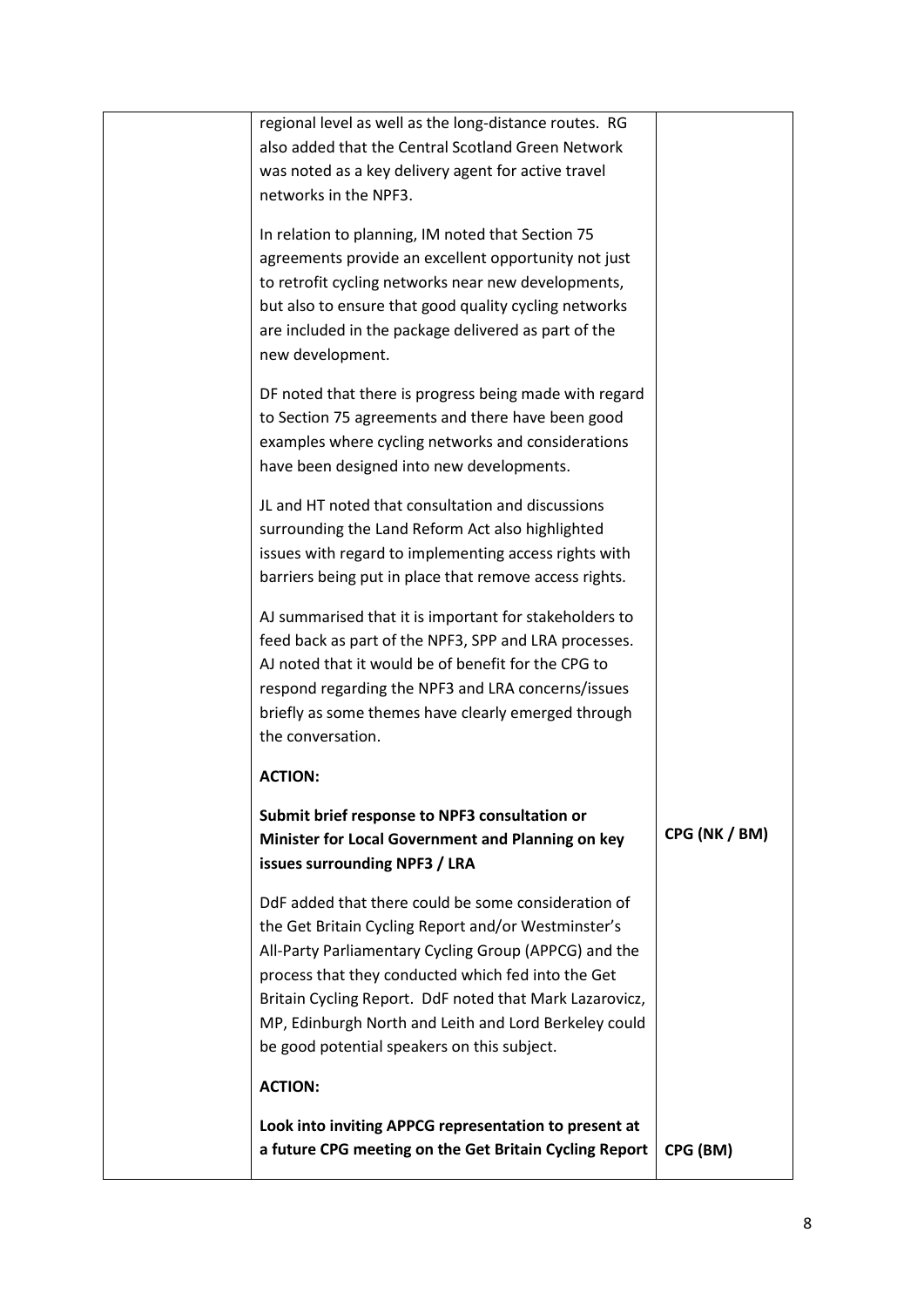| regional level as well as the long-distance routes. RG<br>also added that the Central Scotland Green Network<br>was noted as a key delivery agent for active travel<br>networks in the NPF3.                                                                                                                                                                                                 |               |
|----------------------------------------------------------------------------------------------------------------------------------------------------------------------------------------------------------------------------------------------------------------------------------------------------------------------------------------------------------------------------------------------|---------------|
| In relation to planning, IM noted that Section 75<br>agreements provide an excellent opportunity not just<br>to retrofit cycling networks near new developments,<br>but also to ensure that good quality cycling networks<br>are included in the package delivered as part of the<br>new development.                                                                                        |               |
| DF noted that there is progress being made with regard<br>to Section 75 agreements and there have been good<br>examples where cycling networks and considerations<br>have been designed into new developments.                                                                                                                                                                               |               |
| JL and HT noted that consultation and discussions<br>surrounding the Land Reform Act also highlighted<br>issues with regard to implementing access rights with<br>barriers being put in place that remove access rights.                                                                                                                                                                     |               |
| AJ summarised that it is important for stakeholders to<br>feed back as part of the NPF3, SPP and LRA processes.<br>AJ noted that it would be of benefit for the CPG to<br>respond regarding the NPF3 and LRA concerns/issues<br>briefly as some themes have clearly emerged through<br>the conversation.                                                                                     |               |
| <b>ACTION:</b>                                                                                                                                                                                                                                                                                                                                                                               |               |
| Submit brief response to NPF3 consultation or<br>Minister for Local Government and Planning on key<br>issues surrounding NPF3 / LRA                                                                                                                                                                                                                                                          | CPG (NK / BM) |
| DdF added that there could be some consideration of<br>the Get Britain Cycling Report and/or Westminster's<br>All-Party Parliamentary Cycling Group (APPCG) and the<br>process that they conducted which fed into the Get<br>Britain Cycling Report. DdF noted that Mark Lazarovicz,<br>MP, Edinburgh North and Leith and Lord Berkeley could<br>be good potential speakers on this subject. |               |
| <b>ACTION:</b>                                                                                                                                                                                                                                                                                                                                                                               |               |
| Look into inviting APPCG representation to present at<br>a future CPG meeting on the Get Britain Cycling Report                                                                                                                                                                                                                                                                              | CPG (BM)      |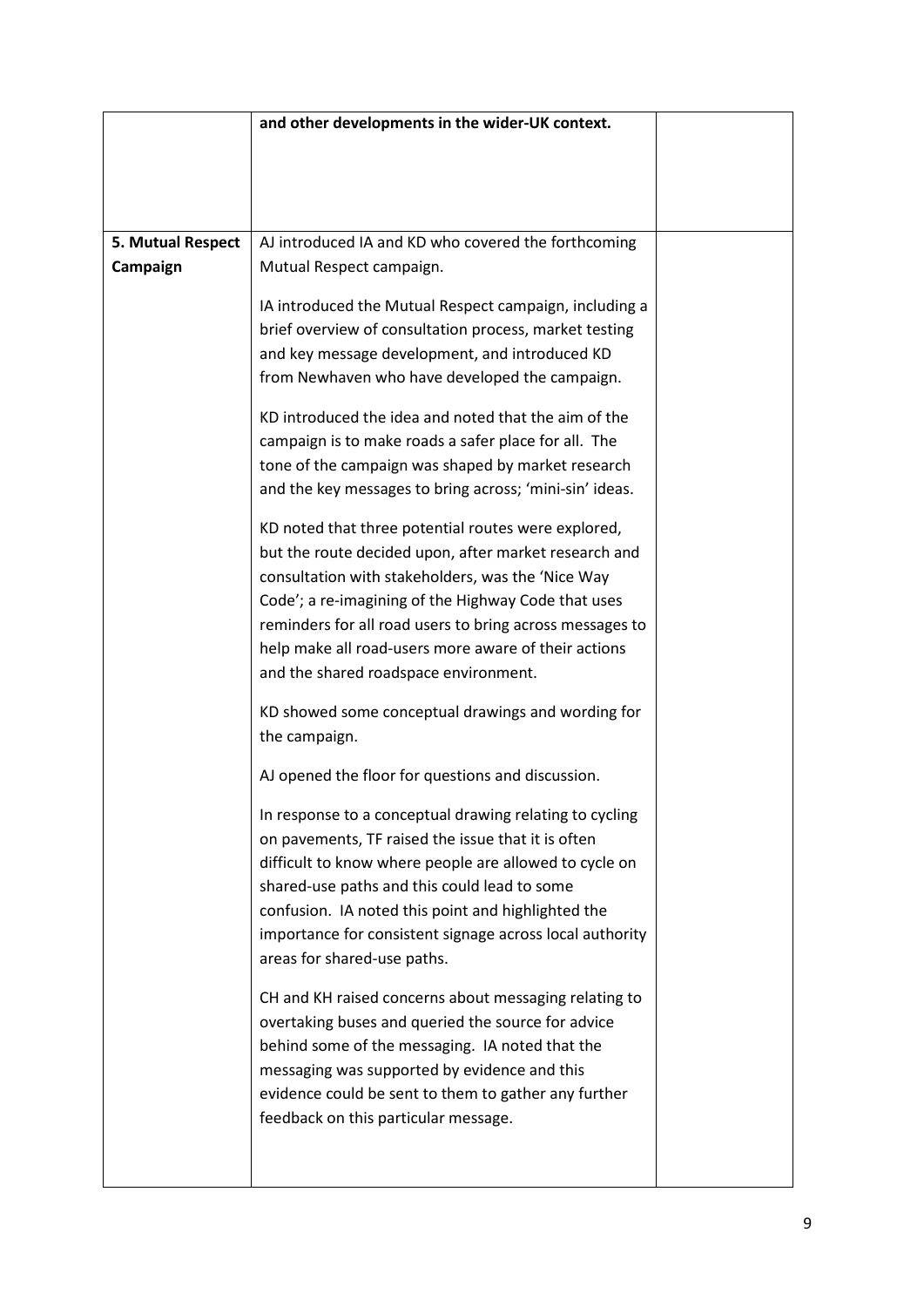|                   | and other developments in the wider-UK context.                                                                                                                                                                                                                                                                                                                                       |  |
|-------------------|---------------------------------------------------------------------------------------------------------------------------------------------------------------------------------------------------------------------------------------------------------------------------------------------------------------------------------------------------------------------------------------|--|
|                   |                                                                                                                                                                                                                                                                                                                                                                                       |  |
|                   |                                                                                                                                                                                                                                                                                                                                                                                       |  |
|                   |                                                                                                                                                                                                                                                                                                                                                                                       |  |
| 5. Mutual Respect | AJ introduced IA and KD who covered the forthcoming                                                                                                                                                                                                                                                                                                                                   |  |
| Campaign          | Mutual Respect campaign.                                                                                                                                                                                                                                                                                                                                                              |  |
|                   | IA introduced the Mutual Respect campaign, including a<br>brief overview of consultation process, market testing<br>and key message development, and introduced KD<br>from Newhaven who have developed the campaign.                                                                                                                                                                  |  |
|                   | KD introduced the idea and noted that the aim of the<br>campaign is to make roads a safer place for all. The<br>tone of the campaign was shaped by market research<br>and the key messages to bring across; 'mini-sin' ideas.                                                                                                                                                         |  |
|                   | KD noted that three potential routes were explored,<br>but the route decided upon, after market research and<br>consultation with stakeholders, was the 'Nice Way<br>Code'; a re-imagining of the Highway Code that uses<br>reminders for all road users to bring across messages to<br>help make all road-users more aware of their actions<br>and the shared roadspace environment. |  |
|                   | KD showed some conceptual drawings and wording for<br>the campaign.                                                                                                                                                                                                                                                                                                                   |  |
|                   | AJ opened the floor for questions and discussion.                                                                                                                                                                                                                                                                                                                                     |  |
|                   | In response to a conceptual drawing relating to cycling<br>on pavements, TF raised the issue that it is often<br>difficult to know where people are allowed to cycle on<br>shared-use paths and this could lead to some<br>confusion. IA noted this point and highlighted the<br>importance for consistent signage across local authority<br>areas for shared-use paths.              |  |
|                   | CH and KH raised concerns about messaging relating to<br>overtaking buses and queried the source for advice<br>behind some of the messaging. IA noted that the<br>messaging was supported by evidence and this<br>evidence could be sent to them to gather any further<br>feedback on this particular message.                                                                        |  |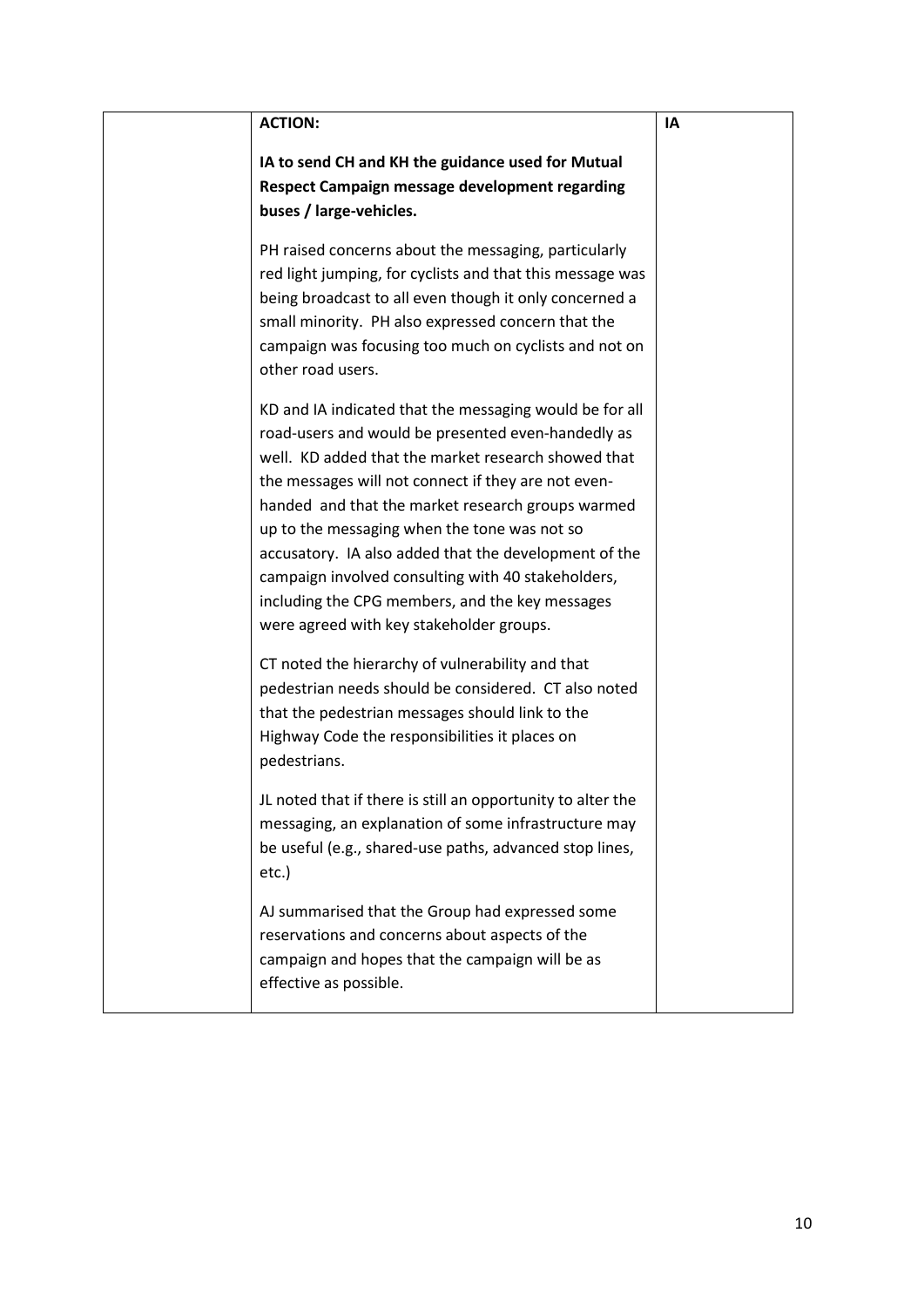| <b>ACTION:</b>                                                                                                                                                                                                                                                                                                                                                                                                                                                                                                                                                                                                                                                                                                                                                                  | IA |
|---------------------------------------------------------------------------------------------------------------------------------------------------------------------------------------------------------------------------------------------------------------------------------------------------------------------------------------------------------------------------------------------------------------------------------------------------------------------------------------------------------------------------------------------------------------------------------------------------------------------------------------------------------------------------------------------------------------------------------------------------------------------------------|----|
| IA to send CH and KH the guidance used for Mutual<br>Respect Campaign message development regarding<br>buses / large-vehicles.                                                                                                                                                                                                                                                                                                                                                                                                                                                                                                                                                                                                                                                  |    |
| PH raised concerns about the messaging, particularly<br>red light jumping, for cyclists and that this message was<br>being broadcast to all even though it only concerned a<br>small minority. PH also expressed concern that the<br>campaign was focusing too much on cyclists and not on<br>other road users.                                                                                                                                                                                                                                                                                                                                                                                                                                                                 |    |
| KD and IA indicated that the messaging would be for all<br>road-users and would be presented even-handedly as<br>well. KD added that the market research showed that<br>the messages will not connect if they are not even-<br>handed and that the market research groups warmed<br>up to the messaging when the tone was not so<br>accusatory. IA also added that the development of the<br>campaign involved consulting with 40 stakeholders,<br>including the CPG members, and the key messages<br>were agreed with key stakeholder groups.<br>CT noted the hierarchy of vulnerability and that<br>pedestrian needs should be considered. CT also noted<br>that the pedestrian messages should link to the<br>Highway Code the responsibilities it places on<br>pedestrians. |    |
| JL noted that if there is still an opportunity to alter the<br>messaging, an explanation of some infrastructure may<br>be useful (e.g., shared-use paths, advanced stop lines,<br>etc.)                                                                                                                                                                                                                                                                                                                                                                                                                                                                                                                                                                                         |    |
| AJ summarised that the Group had expressed some<br>reservations and concerns about aspects of the<br>campaign and hopes that the campaign will be as<br>effective as possible.                                                                                                                                                                                                                                                                                                                                                                                                                                                                                                                                                                                                  |    |